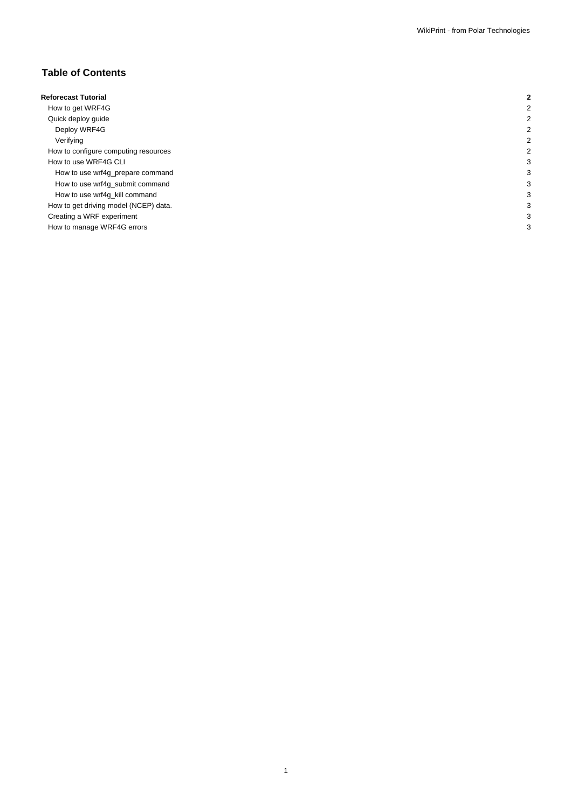# **Table of Contents**

| <b>Reforecast Tutorial</b>            |  |
|---------------------------------------|--|
| How to get WRF4G                      |  |
| Quick deploy guide                    |  |
| Deploy WRF4G                          |  |
| Verifying                             |  |
| How to configure computing resources  |  |
| How to use WRF4G CLI                  |  |
| How to use wrf4g_prepare command      |  |
| How to use wrf4g_submit command       |  |
| How to use wrf4g_kill command         |  |
| How to get driving model (NCEP) data. |  |
| Creating a WRF experiment             |  |
| How to manage WRF4G errors            |  |
|                                       |  |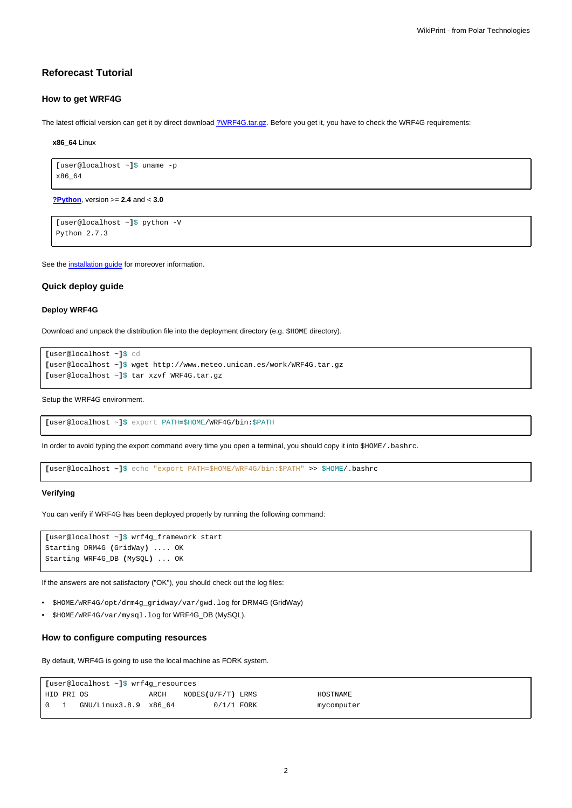# **Reforecast Tutorial**

## **How to get WRF4G**

The latest official version can get it by direct download [?WRF4G.tar.gz](http://www.meteo.macc.unican.es/work/WRF4G.tar.gz). Before you get it, you have to check the WRF4G requirements:

**x86\_64** Linux

```
[user@localhost ~]$ uname -p
x86_64
```
**[?Python](http://www.python.org/)**, version >= **2.4** and < **3.0**

```
[user@localhost ~]$ python -V
Python 2.7.3
```
See the [installation guide](https://meteo.unican.es/trac/wiki/WRF4GInstall) for moreover information.

## **Quick deploy guide**

## **Deploy WRF4G**

Download and unpack the distribution file into the deployment directory (e.g. \$HOME directory).

```
[user@localhost ~]$ cd
[user@localhost ~]$ wget http://www.meteo.unican.es/work/WRF4G.tar.gz
[user@localhost ~]$ tar xzvf WRF4G.tar.gz
```
Setup the WRF4G environment.

**[**user@localhost ~**]**\$ export PATH**=**\$HOME/WRF4G/bin:\$PATH

In order to avoid typing the export command every time you open a terminal, you should copy it into \$HOME/.bashrc.

**[**user@localhost ~**]**\$ echo "export PATH=\$HOME/WRF4G/bin:\$PATH" >> \$HOME/.bashrc

#### **Verifying**

You can verify if WRF4G has been deployed properly by running the following command:

```
[user@localhost ~]$ wrf4g_framework start
Starting DRM4G (GridWay) .... OK
Starting WRF4G_DB (MySQL) ... OK
```
If the answers are not satisfactory ("OK"), you should check out the log files:

- \$HOME/WRF4G/opt/drm4g\_gridway/var/gwd.log for DRM4G (GridWay)
- \$HOME/WRF4G/var/mysql.log for WRF4G\_DB (MySQL).

## **How to configure computing resources**

By default, WRF4G is going to use the local machine as FORK system.

| [user@localhost ~]\$ wrf4g_resources           |  |                       |      |                   |  |            |  |  |
|------------------------------------------------|--|-----------------------|------|-------------------|--|------------|--|--|
| HID PRI OS                                     |  |                       | ARCH | NODES(U/F/T) LRMS |  | HOSTNAME   |  |  |
| $\begin{array}{ccc} \circ & \circ \end{array}$ |  | GNU/Linux3.8.9 x86 64 |      | $0/1/1$ FORK      |  | mycomputer |  |  |